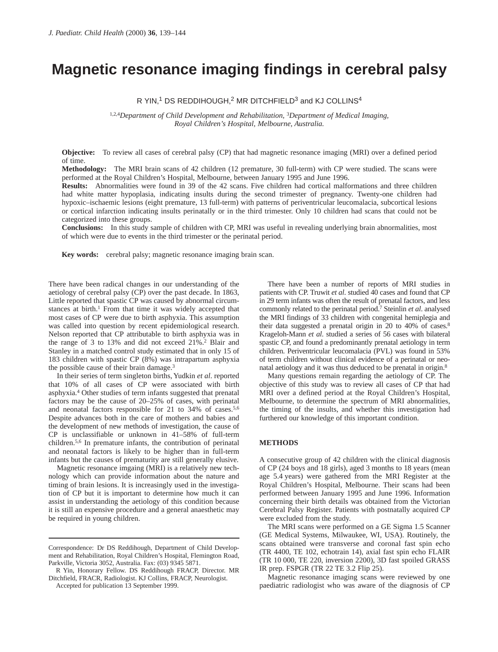# **Magnetic resonance imaging findings in cerebral palsy**

# R YIN,<sup>1</sup> DS REDDIHOUGH,<sup>2</sup> MR DITCHFIELD<sup>3</sup> and KJ COLLINS<sup>4</sup>

1,2,4*Department of Child Development and Rehabilitation,* <sup>3</sup>*Department of Medical Imaging, Royal Children's Hospital, Melbourne, Australia.* 

**Objective:** To review all cases of cerebral palsy (CP) that had magnetic resonance imaging (MRI) over a defined period of time.

**Methodology:** The MRI brain scans of 42 children (12 premature, 30 full-term) with CP were studied. The scans were performed at the Royal Children's Hospital, Melbourne, between January 1995 and June 1996.

**Results:** Abnormalities were found in 39 of the 42 scans. Five children had cortical malformations and three children had white matter hypoplasia, indicating insults during the second trimester of pregnancy. Twenty-one children had hypoxic–ischaemic lesions (eight premature, 13 full-term) with patterns of periventricular leucomalacia, subcortical lesions or cortical infarction indicating insults perinatally or in the third trimester. Only 10 children had scans that could not be categorized into these groups.

**Conclusions:** In this study sample of children with CP, MRI was useful in revealing underlying brain abnormalities, most of which were due to events in the third trimester or the perinatal period.

Key words: cerebral palsy; magnetic resonance imaging brain scan.

There have been radical changes in our understanding of the aetiology of cerebral palsy (CP) over the past decade. In 1863, Little reported that spastic CP was caused by abnormal circumstances at birth.<sup>1</sup> From that time it was widely accepted that most cases of CP were due to birth asphyxia. This assumption was called into question by recent epidemiological research. Nelson reported that CP attributable to birth asphyxia was in the range of 3 to 13% and did not exceed 21%.2 Blair and Stanley in a matched control study estimated that in only 15 of 183 children with spastic CP (8%) was intrapartum asphyxia the possible cause of their brain damage.<sup>3</sup>

In their series of term singleton births, Yudkin *et al*. reported that 10% of all cases of CP were associated with birth asphyxia.4 Other studies of term infants suggested that prenatal factors may be the cause of 20–25% of cases, with perinatal and neonatal factors responsible for 21 to 34% of cases.5,6 Despite advances both in the care of mothers and babies and the development of new methods of investigation, the cause of CP is unclassifiable or unknown in 41–58% of full-term children.5,6 In premature infants, the contribution of perinatal and neonatal factors is likely to be higher than in full-term infants but the causes of prematurity are still generally elusive.

Magnetic resonance imgaing (MRI) is a relatively new technology which can provide information about the nature and timing of brain lesions. It is increasingly used in the investigation of CP but it is important to determine how much it can assist in understanding the aetiology of this condition because it is still an expensive procedure and a general anaesthetic may be required in young children.

There have been a number of reports of MRI studies in patients with CP. Truwit *et al*. studied 40 cases and found that CP in 29 term infants was often the result of prenatal factors, and less commonly related to the perinatal period.7 Steinlin *et al*. analysed the MRI findings of 33 children with congenital hemiplegia and their data suggested a prenatal origin in 20 to 40% of cases.8 Krageloh-Mann *et al*. studied a series of 56 cases with bilateral spastic CP, and found a predominantly prenatal aetiology in term children. Periventricular leucomalacia (PVL) was found in 53% of term children without clinical evidence of a perinatal or neonatal aetiology and it was thus deduced to be prenatal in origin.8

Many questions remain regarding the aetiology of CP. The objective of this study was to review all cases of CP that had MRI over a defined period at the Royal Children's Hospital, Melbourne, to determine the spectrum of MRI abnormalities, the timing of the insults, and whether this investigation had furthered our knowledge of this important condition.

#### **METHODS**

A consecutive group of 42 children with the clinical diagnosis of CP (24 boys and 18 girls), aged 3 months to 18 years (mean age 5.4 years) were gathered from the MRI Register at the Royal Children's Hospital, Melbourne. Their scans had been performed between January 1995 and June 1996. Information concerning their birth details was obtained from the Victorian Cerebral Palsy Register. Patients with postnatally acquired CP were excluded from the study.

The MRI scans were performed on a GE Sigma 1.5 Scanner (GE Medical Systems, Milwaukee, WI, USA). Routinely, the scans obtained were transverse and coronal fast spin echo (TR 4400, TE 102, echotrain 14), axial fast spin echo FLAIR (TR 10 000, TE 220, inversion 2200), 3D fast spoiled GRASS IR prep. FSPGR (TR 22 TE 3.2 Flip 25).

Magnetic resonance imaging scans were reviewed by one paediatric radiologist who was aware of the diagnosis of CP

Correspondence: Dr DS Reddihough, Department of Child Development and Rehabilitation, Royal Children's Hospital, Flemington Road, Parkville, Victoria 3052, Australia. Fax: (03) 9345 5871.

R Yin, Honorary Fellow. DS Reddihough FRACP, Director. MR Ditchfield, FRACR, Radiologist. KJ Collins, FRACP, Neurologist.

Accepted for publication 13 September 1999.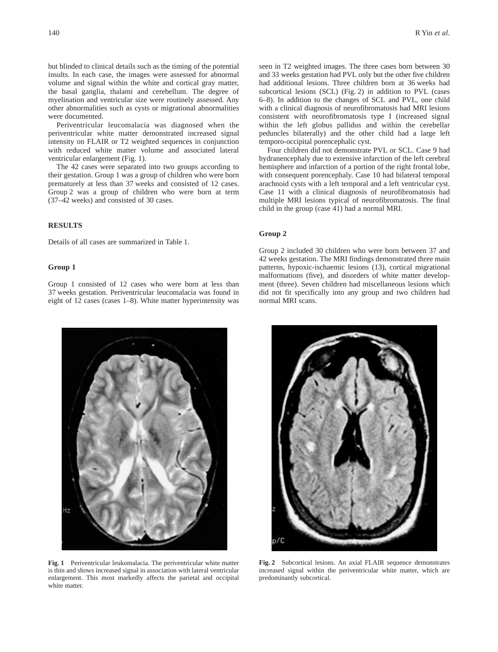but blinded to clinical details such as the timing of the potential insults. In each case, the images were assessed for abnormal volume and signal within the white and cortical gray matter, the basal ganglia, thalami and cerebellum. The degree of myelination and ventricular size were routinely assessed. Any other abnormalities such as cysts or migrational abnormalities were documented.

Periventricular leucomalacia was diagnosed when the periventricular white matter demonstrated increased signal intensity on FLAIR or T2 weighted sequences in conjunction with reduced white matter volume and associated lateral ventricular enlargement (Fig. 1).

The 42 cases were separated into two groups according to their gestation. Group 1 was a group of children who were born prematurely at less than 37 weeks and consisted of 12 cases. Group 2 was a group of children who were born at term (37–42 weeks) and consisted of 30 cases.

# **RESULTS**

Details of all cases are summarized in Table 1.

## **Group 1**

Group 1 consisted of 12 cases who were born at less than 37 weeks gestation. Periventricular leucomalacia was found in eight of 12 cases (cases 1–8). White matter hyperintensity was seen in T2 weighted images. The three cases born between 30 and 33 weeks gestation had PVL only but the other five children had additional lesions. Three children born at 36 weeks had subcortical lesions (SCL) (Fig. 2) in addition to PVL (cases 6–8). In addition to the changes of SCL and PVL, one child with a clinical diagnosis of neurofibromatosis had MRI lesions consistent with neurofibromatosis type I (increased signal within the left globus pallidus and within the cerebellar peduncles bilaterally) and the other child had a large left temporo-occipital porencephalic cyst.

Four children did not demonstrate PVL or SCL. Case 9 had hydranencephaly due to extensive infarction of the left cerebral hemisphere and infarction of a portion of the right frontal lobe, with consequent porencephaly. Case 10 had bilateral temporal arachnoid cysts with a left temporal and a left ventricular cyst. Case 11 with a clinical diagnosis of neurofibromatosis had multiple MRI lesions typical of neurofibromatosis. The final child in the group (case 41) had a normal MRI.

### **Group 2**

Group 2 included 30 children who were born between 37 and 42 weeks gestation. The MRI findings demonstrated three main patterns, hypoxic-ischaemic lesions (13), cortical migrational malformations (five), and disorders of white matter development (three). Seven children had miscellaneous lesions which did not fit specifically into any group and two children had normal MRI scans.



**Fig. 1** Periventricular leukomalacia. The periventricular white matter is thin and shows increased signal in association with lateral ventricular enlargement. This most markedly affects the parietal and occipital white matter.



**Fig. 2** Subcortical lesions. An axial FLAIR sequence demonstrates increased signal within the periventricular white matter, which are predominantly subcortical.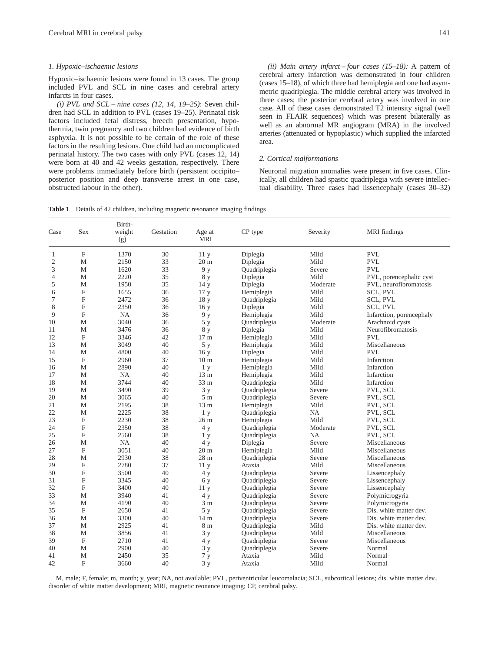#### *1. Hypoxic–ischaemic lesions*

Hypoxic–ischaemic lesions were found in 13 cases. The group included PVL and SCL in nine cases and cerebral artery infarcts in four cases.

*(i) PVL and SCL – nine cases (12, 14, 19–25)*: Seven children had SCL in addition to PVL (cases 19–25). Perinatal risk factors included fetal distress, breech presentation, hypothermia, twin pregnancy and two children had evidence of birth asphyxia. It is not possible to be certain of the role of these factors in the resulting lesions. One child had an uncomplicated perinatal history. The two cases with only PVL (cases 12, 14) were born at 40 and 42 weeks gestation, respectively. There were problems immediately before birth (persistent occipito– posterior position and deep transverse arrest in one case, obstructed labour in the other).

*(ii) Main artery infarct – four cases (15–18):* A pattern of cerebral artery infarction was demonstrated in four children (cases 15–18), of which three had hemiplegia and one had asymmetric quadriplegia. The middle cerebral artery was involved in three cases; the posterior cerebral artery was involved in one case. All of these cases demonstrated T2 intensity signal (well seen in FLAIR sequences) which was present bilaterally as well as an abnormal MR angiogram (MRA) in the involved arteries (attenuated or hypoplastic) which supplied the infarcted area.

#### *2. Cortical malformations*

Neuronal migration anomalies were present in five cases. Clinically, all children had spastic quadriplegia with severe intellectual disability. Three cases had lissencephaly (cases 30–32)

|  | Table 1 Details of 42 children, including magnetic resonance imaging findings |  |  |  |
|--|-------------------------------------------------------------------------------|--|--|--|
|  |                                                                               |  |  |  |

| Case           | Sex                       | Birth-<br>weight<br>(g) | Gestation | Age at<br><b>MRI</b> | CP type      | Severity | MRI findings             |
|----------------|---------------------------|-------------------------|-----------|----------------------|--------------|----------|--------------------------|
| 1              | $\mathbf F$               | 1370                    | 30        | 11y                  | Diplegia     | Mild     | <b>PVL</b>               |
| $\mathfrak{2}$ | M                         | 2150                    | 33        | 20 <sub>m</sub>      | Diplegia     | Mild     | <b>PVL</b>               |
| 3              | M                         | 1620                    | 33        | 9у                   | Quadriplegia | Severe   | <b>PVL</b>               |
| 4              | M                         | 2220                    | 35        | 8 y                  | Diplegia     | Mild     | PVL, porencephalic cyst  |
| 5              | $\mathbf M$               | 1950                    | 35        | 14y                  | Diplegia     | Moderate | PVL, neurofibromatosis   |
| 6              | F                         | 1655                    | 36        | 17 <sub>y</sub>      | Hemiplegia   | Mild     | <b>SCL, PVL</b>          |
| 7              | F                         | 2472                    | 36        | 18 y                 | Quadriplegia | Mild     | SCL, PVL                 |
| 8              | $\boldsymbol{\mathrm{F}}$ | 2350                    | 36        | 16y                  | Diplegia     | Mild     | SCL, PVL                 |
| 9              | F                         | <b>NA</b>               | 36        | 9 y                  | Hemiplegia   | Mild     | Infarction, porencephaly |
| 10             | M                         | 3040                    | 36        | 5 <sub>y</sub>       | Quadriplegia | Moderate | Arachnoid cysts          |
| 11             | M                         | 3476                    | 36        | 8 y                  | Diplegia     | Mild     | Neurofibromatosis        |
| 12             | $\mathbf F$               | 3346                    | 42        | 17 <sub>m</sub>      | Hemiplegia   | Mild     | PVL                      |
| 13             | M                         | 3049                    | 40        | 5 y                  | Hemiplegia   | Mild     | Miscellaneous            |
| 14             | M                         | 4800                    | 40        | 16y                  | Diplegia     | Mild     | <b>PVL</b>               |
| 15             | $\mathbf F$               | 2960                    | 37        | 10 <sub>m</sub>      | Hemiplegia   | Mild     | Infarction               |
| 16             | M                         | 2890                    | 40        | 1 <sub>y</sub>       | Hemiplegia   | Mild     | Infarction               |
| 17             | M                         | <b>NA</b>               | 40        | 13 <sub>m</sub>      | Hemiplegia   | Mild     | Infarction               |
| 18             | M                         | 3744                    | 40        | 33 <sub>m</sub>      | Quadriplegia | Mild     | Infarction               |
| 19             | M                         | 3490                    | 39        | 3y                   | Quadriplegia | Severe   | PVL, SCL                 |
| 20             | M                         | 3065                    | 40        | 5 <sub>m</sub>       | Quadriplegia | Severe   | PVL, SCL                 |
| 21             | M                         | 2195                    | 38        | 13 m                 | Hemiplegia   | Mild     | PVL, SCL                 |
| 22             | M                         | 2225                    | 38        | 1 <sub>y</sub>       | Quadriplegia | NA       | PVL, SCL                 |
| 23             | F                         | 2230                    | 38        | 26 <sub>m</sub>      | Hemiplegia   | Mild     | PVL, SCL                 |
| 24             | F                         | 2350                    | 38        | 4y                   | Quadriplegia | Moderate | PVL, SCL                 |
| 25             | $\mathbf F$               | 2560                    | 38        | 1 <sub>y</sub>       | Quadriplegia | NA       | PVL, SCL                 |
| 26             | M                         | NA                      | 40        | 4y                   | Diplegia     | Severe   | Miscellaneous            |
| 27             | F                         | 3051                    | 40        | 20 <sub>m</sub>      | Hemiplegia   | Mild     | Miscellaneous            |
| 28             | M                         | 2930                    | 38        | 28 <sub>m</sub>      | Quadriplegia | Severe   | Miscellaneous            |
| 29             | F                         | 2780                    | 37        | 11y                  | Ataxia       | Mild     | Miscellaneous            |
| 30             | F                         | 3500                    | 40        | 4y                   | Quadriplegia | Severe   | Lissencephaly            |
| 31             | $\mathbf F$               | 3345                    | 40        | 6 y                  | Quadriplegia | Severe   | Lissencephaly            |
| 32             | F                         | 3400                    | 40        | 11 <sub>y</sub>      | Quadriplegia | Severe   | Lissencephaly            |
| 33             | M                         | 3940                    | 41        | 4y                   | Quadriplegia | Severe   | Polymicrogyria           |
| 34             | M                         | 4190                    | 40        | 3 <sub>m</sub>       | Quadriplegia | Severe   | Polymicrogyria           |
| 35             | F                         | 2650                    | 41        | 5 <sub>y</sub>       | Quadriplegia | Severe   | Dis. white matter dev.   |
| 36             | М                         | 3300                    | 40        | 14 <sub>m</sub>      | Quadriplegia | Severe   | Dis. white matter dev.   |
| 37             | M                         | 2925                    | 41        | 8 <sub>m</sub>       | Quadriplegia | Mild     | Dis. white matter dev.   |
| 38             | M                         | 3856                    | 41        | 3y                   | Quadriplegia | Mild     | Miscellaneous            |
| 39             | $\mathbf F$               | 2710                    | 41        | 4 y                  | Quadriplegia | Severe   | Miscellaneous            |
| 40             | M                         | 2900                    | 40        | 3y                   | Quadriplegia | Severe   | Normal                   |
| 41             | M                         | 2450                    | 35        | 7y                   | Ataxia       | Mild     | Normal                   |
| 42             | F                         | 3660                    | 40        | 3y                   | Ataxia       | Mild     | Normal                   |

M, male; F, female; m, month; y, year; NA, not available; PVL, periventricular leucomalacia; SCL, subcortical lesions; dis. white matter dev., disorder of white matter development; MRI, magnetic reonance imaging; CP, cerebral palsy.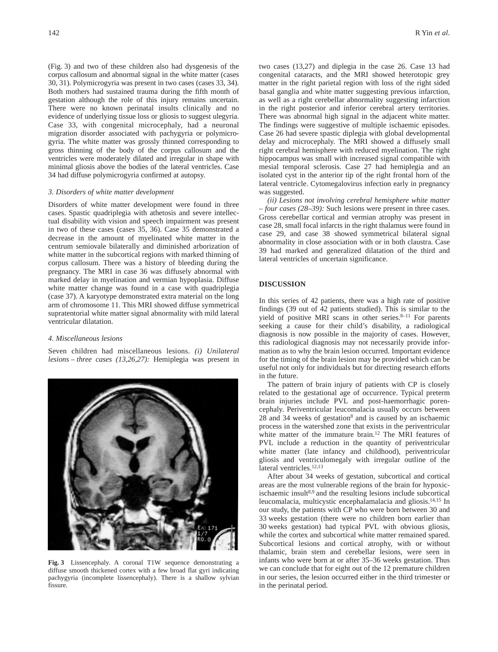(Fig. 3) and two of these children also had dysgenesis of the corpus callosum and abnormal signal in the white matter (cases 30, 31). Polymicrogyria was present in two cases (cases 33, 34). Both mothers had sustained trauma during the fifth month of gestation although the role of this injury remains uncertain. There were no known perinatal insults clinically and no evidence of underlying tissue loss or gliosis to suggest ulegyria. Case 33, with congenital microcephaly, had a neuronal migration disorder associated with pachygyria or polymicrogyria. The white matter was grossly thinned corresponding to gross thinning of the body of the corpus callosum and the ventricles were moderately dilated and irregular in shape with minimal gliosis above the bodies of the lateral ventricles. Case 34 had diffuse polymicrogyria confirmed at autopsy.

#### *3. Disorders of white matter development*

Disorders of white matter development were found in three cases. Spastic quadriplegia with athetosis and severe intellectual disability with vision and speech impairment was present in two of these cases (cases 35, 36). Case 35 demonstrated a decrease in the amount of myelinated white matter in the centrum semiovale bilaterally and diminished arborization of white matter in the subcortical regions with marked thinning of corpus callosum. There was a history of bleeding during the pregnancy. The MRI in case 36 was diffusely abnormal with marked delay in myelination and vermian hypoplasia. Diffuse white matter change was found in a case with quadriplegia (case 37). A karyotype demonstrated extra material on the long arm of chromosome 11. This MRI showed diffuse symmetrical supratentorial white matter signal abnormality with mild lateral ventricular dilatation.

#### *4. Miscellaneous lesions*

Seven children had miscellaneous lesions. *(i) Unilateral lesions – three cases (13,26,27):* Hemiplegia was present in



**Fig. 3** Lissencephaly. A coronal T1W sequence demonstrating a diffuse smooth thickened cortex with a few broad flat gyri indicating pachygyria (incomplete lissencephaly). There is a shallow sylvian fissure.

two cases (13,27) and diplegia in the case 26. Case 13 had congenital cataracts, and the MRI showed heterotopic grey matter in the right parietal region with loss of the right sided basal ganglia and white matter suggesting previous infarction, as well as a right cerebellar abnormality suggesting infarction in the right posterior and inferior cerebral artery territories. There was abnormal high signal in the adjacent white matter. The findings were suggestive of multiple ischaemic episodes. Case 26 had severe spastic diplegia with global developmental delay and microcephaly. The MRI showed a diffusely small right cerebral hemisphere with reduced myelination. The right hippocampus was small with increased signal compatible with mesial temporal sclerosis. Case 27 had hemiplegia and an isolated cyst in the anterior tip of the right frontal horn of the lateral ventricle. Cytomegalovirus infection early in pregnancy was suggested.

*(ii) Lesions not involving cerebral hemisphere white matter – four cases (28–39):* Such lesions were present in three cases. Gross cerebellar cortical and vermian atrophy was present in case 28, small focal infarcts in the right thalamus were found in case 29, and case 38 showed symmetrical bilateral signal abnormality in close association with or in both claustra. Case 39 had marked and generalized dilatation of the third and lateral ventricles of uncertain significance.

#### **DISCUSSION**

In this series of 42 patients, there was a high rate of positive findings (39 out of 42 patients studied). This is similar to the yield of positive MRI scans in other series. $8-11$  For parents seeking a cause for their child's disability, a radiological diagnosis is now possible in the majority of cases. However, this radiological diagnosis may not necessarily provide information as to why the brain lesion occurred. Important evidence for the timing of the brain lesion may be provided which can be useful not only for individuals but for directing research efforts in the future.

The pattern of brain injury of patients with CP is closely related to the gestational age of occurrence. Typical preterm brain injuries include PVL and post-haemorrhagic porencephaly. Periventricular leucomalacia usually occurs between 28 and 34 weeks of gestation8 and is caused by an ischaemic process in the watershed zone that exists in the periventricular white matter of the immature brain.<sup>12</sup> The MRI features of PVL include a reduction in the quantity of periventricular white matter (late infancy and childhood), periventricular gliosis and ventriculomegaly with irregular outline of the lateral ventricles.<sup>12,13</sup>

After about 34 weeks of gestation, subcortical and cortical areas are the most vulnerable regions of the brain for hypoxicischaemic insult<sup>8,9</sup> and the resulting lesions include subcortical leucomalacia, multicystic encephalamalacia and gliosis.14,15 In our study, the patients with CP who were born between 30 and 33 weeks gestation (there were no children born earlier than 30 weeks gestation) had typical PVL with obvious gliosis, while the cortex and subcortical white matter remained spared. Subcortical lesions and cortical atrophy, with or without thalamic, brain stem and cerebellar lesions, were seen in infants who were born at or after 35–36 weeks gestation. Thus we can conclude that for eight out of the 12 premature children in our series, the lesion occurred either in the third trimester or in the perinatal period.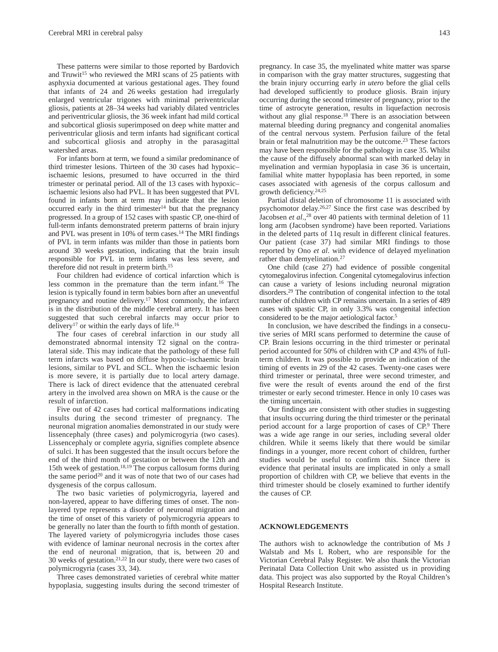These patterns were similar to those reported by Bardovich and Truwit<sup>15</sup> who reviewed the MRI scans of 25 patients with asphyxia documented at various gestational ages. They found that infants of 24 and 26 weeks gestation had irregularly enlarged ventricular trigones with minimal periventricular gliosis, patients at 28–34 weeks had variably dilated ventricles and periventricular gliosis, the 36 week infant had mild cortical and subcortical gliosis superimposed on deep white matter and periventricular gliosis and term infants had significant cortical and subcortical gliosis and atrophy in the parasagittal watershed areas.

For infants born at term, we found a similar predominance of third trimester lesions. Thirteen of the 30 cases had hypoxic– ischaemic lesions, presumed to have occurred in the third trimester or perinatal period. All of the 13 cases with hypoxic– ischaemic lesions also had PVL. It has been suggested that PVL found in infants born at term may indicate that the lesion occurred early in the third trimester $14$  but that the pregnancy progressed. In a group of 152 cases with spastic CP, one-third of full-term infants demonstrated preterm patterns of brain injury and PVL was present in 10% of term cases.<sup>14</sup> The MRI findings of PVL in term infants was milder than those in patients born around 30 weeks gestation, indicating that the brain insult responsible for PVL in term infants was less severe, and therefore did not result in preterm birth.15

Four children had evidence of cortical infarction which is less common in the premature than the term infant.16 The lesion is typically found in term babies born after an uneventful pregnancy and routine delivery.17 Most commonly, the infarct is in the distribution of the middle cerebral artery. It has been suggested that such cerebral infarcts may occur prior to delivery<sup>17</sup> or within the early days of life.<sup>16</sup>

The four cases of cerebral infarction in our study all demonstrated abnormal intensity T2 signal on the contralateral side. This may indicate that the pathology of these full term infarcts was based on diffuse hypoxic–ischaemic brain lesions, similar to PVL and SCL. When the ischaemic lesion is more severe, it is partially due to local artery damage. There is lack of direct evidence that the attenuated cerebral artery in the involved area shown on MRA is the cause or the result of infarction.

Five out of 42 cases had cortical malformations indicating insults during the second trimester of pregnancy. The neuronal migration anomalies demonstrated in our study were lissencephaly (three cases) and polymicrogyria (two cases). Lissencephaly or complete agyria, signifies complete absence of sulci. It has been suggested that the insult occurs before the end of the third month of gestation or between the 12th and 15th week of gestation.18,19 The corpus callosum forms during the same period<sup>20</sup> and it was of note that two of our cases had dysgenesis of the corpus callosum.

The two basic varieties of polymicrogyria, layered and non-layered, appear to have differing times of onset. The nonlayered type represents a disorder of neuronal migration and the time of onset of this variety of polymicrogyria appears to be generally no later than the fourth to fifth month of gestation. The layered variety of polymicrogyria includes those cases with evidence of laminar neuronal necrosis in the cortex after the end of neuronal migration, that is, between 20 and 30 weeks of gestation.<sup>21,22</sup> In our study, there were two cases of polymicrogyria (cases 33, 34).

Three cases demonstrated varieties of cerebral white matter hypoplasia, suggesting insults during the second trimester of pregnancy. In case 35, the myelinated white matter was sparse in comparison with the gray matter structures, suggesting that the brain injury occurring early *in utero* before the glial cells had developed sufficiently to produce gliosis. Brain injury occurring during the second trimester of pregnancy, prior to the time of astrocyte generation, results in liquefaction necrosis without any glial response.<sup>18</sup> There is an association between maternal bleeding during pregnancy and congenital anomalies of the central nervous system. Perfusion failure of the fetal brain or fetal malnutrition may be the outcome.<sup>23</sup> These factors may have been responsible for the pathology in case 35. Whilst the cause of the diffusely abnormal scan with marked delay in myelination and vermian hypoplasia in case 36 is uncertain, familial white matter hypoplasia has been reported, in some cases associated with agenesis of the corpus callosum and growth deficiency.24,25

Partial distal deletion of chromosome 11 is associated with psychomotor delay.26,27 Since the first case was described by Jacobsen *et al.*,<sup>28</sup> over 40 patients with terminal deletion of 11 long arm (Jacobsen syndrome) have been reported. Variations in the deleted parts of 11q result in different clinical features. Our patient (case 37) had similar MRI findings to those reported by Ono *et al*. with evidence of delayed myelination rather than demyelination.27

One child (case 27) had evidence of possible congenital cytomegalovirus infection. Congenital cytomegalovirus infection can cause a variety of lesions including neuronal migration disorders.29 The contribution of congenital infection to the total number of children with CP remains uncertain. In a series of 489 cases with spastic CP, in only 3.3% was congenital infection considered to be the major aetiological factor.5

In conclusion, we have described the findings in a consecutive series of MRI scans performed to determine the cause of CP. Brain lesions occurring in the third trimester or perinatal period accounted for 50% of children with CP and 43% of fullterm children. It was possible to provide an indication of the timing of events in 29 of the 42 cases. Twenty-one cases were third trimester or perinatal, three were second trimester, and five were the result of events around the end of the first trimester or early second trimester. Hence in only 10 cases was the timing uncertain.

Our findings are consistent with other studies in suggesting that insults occurring during the third trimester or the perinatal period account for a large proportion of cases of CP.<sup>9</sup> There was a wide age range in our series, including several older children. While it seems likely that there would be similar findings in a younger, more recent cohort of children, further studies would be useful to confirm this. Since there is evidence that perinatal insults are implicated in only a small proportion of children with CP, we believe that events in the third trimester should be closely examined to further identify the causes of CP.

# **ACKNOWLEDGEMENTS**

The authors wish to acknowledge the contribution of Ms J Walstab and Ms L Robert, who are responsible for the Victorian Cerebral Palsy Register. We also thank the Victorian Perinatal Data Collection Unit who assisted us in providing data. This project was also supported by the Royal Children's Hospital Research Institute.